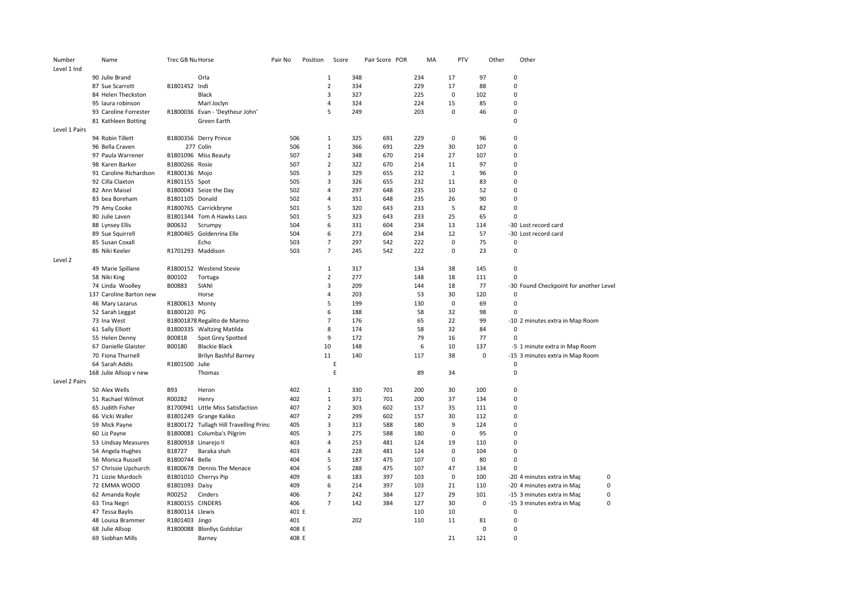| Number        | Name                    | Trec GB Nu Horse                    |                                        | Pair No      | Position | Score          |     | Pair Score POR | MA  | PTV         |             | Other | Other                                  |   |
|---------------|-------------------------|-------------------------------------|----------------------------------------|--------------|----------|----------------|-----|----------------|-----|-------------|-------------|-------|----------------------------------------|---|
| Level 1 Ind   |                         |                                     |                                        |              |          |                |     |                |     |             |             |       |                                        |   |
|               | 90 Julie Brand          |                                     | Orla                                   |              |          | $\mathbf{1}$   | 348 |                | 234 | 17          | 97          |       | 0                                      |   |
|               | 87 Sue Scarrott         | B1801452 Indi                       |                                        |              |          | $\overline{2}$ | 334 |                | 229 | 17          | 88          |       | 0                                      |   |
|               | 84 Helen Theckston      |                                     | Black                                  |              |          | 3              | 327 |                | 225 | $\mathbf 0$ | 102         |       | $\overline{0}$                         |   |
|               | 95 laura robinson       |                                     | Marl Joclyn                            |              |          | $\overline{4}$ | 324 |                | 224 | 15          | 85          |       | 0                                      |   |
|               | 93 Caroline Forrester   |                                     | R1800036 Evan - 'Deytheur John'        |              |          | 5              | 249 |                | 203 | 0           | 46          |       | 0                                      |   |
|               | 81 Kathleen Botting     |                                     | Green Earth                            |              |          |                |     |                |     |             |             |       | $\Omega$                               |   |
| Level 1 Pairs |                         |                                     |                                        |              |          |                |     |                |     |             |             |       |                                        |   |
|               | 94 Robin Tillett        |                                     | B1800356 Derry Prince                  | 506          |          | $\mathbf{1}$   | 325 | 691            | 229 | $\mathbf 0$ | 96          |       | 0                                      |   |
|               | 96 Bella Craven         |                                     | 277 Colin                              | 506          |          | $\mathbf{1}$   | 366 | 691            | 229 | 30          | 107         |       | 0                                      |   |
|               | 97 Paula Warrener       |                                     | B1801096 Miss Beauty                   | 507          |          | $\overline{2}$ | 348 | 670            | 214 | 27          | 107         |       | $\Omega$                               |   |
|               | 98 Karen Barker         | B1800266 Rosie                      |                                        | 507          |          | $\overline{2}$ | 322 | 670            | 214 | 11          | 97          |       | 0                                      |   |
|               | 91 Caroline Richardson  | R1800136 Mojo                       |                                        | 505          |          | $\overline{3}$ | 329 | 655            | 232 | 1           | 96          |       | $\Omega$                               |   |
|               | 92 Cilla Claxton        | R1801155 Spot                       |                                        | 505          |          | 3              | 326 | 655            | 232 | 11          | 83          |       | $\Omega$                               |   |
|               | 82 Ann Maisel           |                                     | B1800043 Seize the Day                 | 502          |          | 4              | 297 | 648            | 235 | 10          | 52          |       | 0                                      |   |
|               | 83 bea Boreham          | B1801105 Donald                     |                                        | 502          |          | 4              | 351 | 648            | 235 | 26          | 90          |       | $\Omega$                               |   |
|               | 79 Amy Cooke            |                                     | R1800765 Carrickbryne                  | 501          |          | 5              | 320 | 643            | 233 | 5           | 82          |       | $\Omega$                               |   |
|               | 80 Julie Laven          |                                     | B1801344 Tom A Hawks Lass              | 501          |          | 5              | 323 | 643            | 233 | 25          | 65          |       | $\Omega$                               |   |
|               |                         | B00632                              |                                        | 504          |          | 6              | 331 | 604            | 234 | 13          | 114         |       | -30 Lost record card                   |   |
|               | 88 Lynsey Ellis         |                                     | Scrumpy<br>R1800465 Goldenrina Elle    | 504          |          | 6              | 273 | 604            | 234 | 12          | 57          |       |                                        |   |
|               | 89 Sue Squirrell        |                                     |                                        |              |          |                |     |                |     |             |             |       | -30 Lost record card                   |   |
|               | 85 Susan Coxall         |                                     | Echo                                   | 503          |          | $\overline{7}$ | 297 | 542            | 222 | 0           | 75          |       | 0                                      |   |
|               | 86 Niki Keeler          |                                     | R1701293 Maddison                      | 503          |          | $\overline{7}$ | 245 | 542            | 222 | $\mathbf 0$ | 23          |       | $\Omega$                               |   |
| Level 2       |                         |                                     |                                        |              |          |                |     |                |     |             |             |       |                                        |   |
|               | 49 Marie Spillane       |                                     | R1800152 Westend Stevie                |              |          | $\mathbf{1}$   | 317 |                | 134 | 38          | 145         |       | 0                                      |   |
|               | 58 Niki King            | B00102                              | Tortuga                                |              |          | $\overline{2}$ | 277 |                | 148 | 18          | 111         |       | $\Omega$                               |   |
|               | 74 Linda Woolley        | B00883                              | SIANI                                  |              |          | 3              | 209 |                | 144 | 18          | 77          |       | -30 Found Checkpoint for another Level |   |
|               | 137 Caroline Barton new |                                     | Horse                                  |              |          | 4              | 203 |                | 53  | 30          | 120         |       | 0                                      |   |
|               | 46 Mary Lazarus         | R1800613 Monty                      |                                        |              |          | 5              | 199 |                | 130 | $\mathbf 0$ | 69          |       | $\mathbf 0$                            |   |
|               | 52 Sarah Leggat         | B1800120 PG                         |                                        |              |          | 6              | 188 |                | 58  | 32          | 98          |       | $\Omega$                               |   |
|               | 73 Ina West             |                                     | B18001878 Regalito de Marino           |              |          | $\overline{7}$ | 176 |                | 65  | 22          | 99          |       | -10 2 minutes extra in Map Room        |   |
|               | 61 Sally Elliott        |                                     | B1800335 Waltzing Matilda              |              |          | 8              | 174 |                | 58  | 32          | 84          |       | $\mathbf 0$                            |   |
|               | 55 Helen Denny          | B00818                              | Spot Grey Spotted                      |              |          | 9              | 172 |                | 79  | 16          | 77          |       | $\Omega$                               |   |
|               | 67 Danielle Glaister    | B00180                              | <b>Blackie Black</b>                   |              |          | 10             | 148 |                | 6   | 10          | 137         |       | -5 1 minute extra in Map Room          |   |
|               | 70 Fiona Thurnell       |                                     | Brilyn Bashful Barney                  |              |          | 11             | 140 |                | 117 | 38          | 0           |       | -15 3 minutes extra in Map Room        |   |
|               | 64 Sarah Addis          | R1801500 Julie                      |                                        |              |          | $\mathsf E$    |     |                |     |             |             |       | $\Omega$                               |   |
|               | 168 Julie Allsop v new  |                                     | Thomas                                 |              |          | $\mathsf E$    |     |                | 89  | 34          |             |       | $\mathbf 0$                            |   |
| Level 2 Pairs |                         |                                     |                                        |              |          |                |     |                |     |             |             |       |                                        |   |
|               | 50 Alex Wells           | <b>B93</b>                          | Heron                                  | 402          |          | 1              | 330 | 701            | 200 | 30          | 100         |       | $\Omega$                               |   |
|               | 51 Rachael Wilmot       | R00282                              | Henry                                  | 402          |          | $\mathbf{1}$   | 371 | 701            | 200 | 37          | 134         |       | 0                                      |   |
|               | 65 Judith Fisher        |                                     | B1700941 Little Miss Satisfaction      | 407          |          | $\overline{2}$ | 303 | 602            | 157 | 35          | 111         |       | 0                                      |   |
|               | 66 Vicki Waller         |                                     | B1801249 Grange Kaliko                 | 407          |          | $\overline{2}$ | 299 | 602            | 157 | 30          | 112         |       | $\Omega$                               |   |
|               | 59 Mick Payne           |                                     | B1800172 Tullagh Hill Travelling Princ | 405          |          | 3              | 313 | 588            | 180 | 9           | 124         |       | 0                                      |   |
|               | 60 Liz Payne            |                                     | B1800081 Columba's Pilgrim             | 405          |          | 3              | 275 | 588            | 180 | $\mathbf 0$ | 95          |       | 0                                      |   |
|               | 53 Lindsay Measures     |                                     | B1800918 Linarejo II                   | 403          |          | $\overline{4}$ | 253 | 481            | 124 | 19          | 110         |       | $\Omega$                               |   |
|               | 54 Angela Hughes        | B18727                              | Baraka shah                            | 403          |          | 4              | 228 | 481            | 124 | 0           | 104         |       | 0                                      |   |
|               | 56 Monica Russell       | B1800744 Belle                      |                                        | 404          |          | 5              | 187 | 475            | 107 | 0           | 80          |       | 0                                      |   |
|               | 57 Chrissie Upchurch    |                                     | B1800678 Dennis The Menace             | 404          |          | 5              | 288 | 475            | 107 | 47          | 134         |       | $\Omega$                               |   |
|               | 71 Lizzie Murdoch       |                                     | B1801010 Cherrys Pip                   | 409          |          | 6              | 183 | 397            | 103 | $\mathbf 0$ | 100         |       | -20 4 minutes extra in Map             | 0 |
|               | 72 EMMA WOOD            | B1801093 Daisy                      |                                        | 409          |          | 6              | 214 | 397            | 103 | 21          | 110         |       | -20 4 minutes extra in Map             | 0 |
|               | 62 Amanda Royle         | R00252                              | Cinders                                | 406          |          | $\overline{7}$ | 242 | 384            | 127 | 29          | 101         |       | -15 3 minutes extra in Map             | 0 |
|               |                         |                                     |                                        |              |          | $\overline{7}$ | 142 | 384            | 127 | 30          | $\mathbf 0$ |       |                                        | 0 |
|               | 63 Tina Negri           | R1800155 CINDERS<br>B1800114 Llewis |                                        | 406<br>401 E |          |                |     |                | 110 | 10          |             |       | -15 3 minutes extra in Map<br>0        |   |
|               | 47 Tessa Baylis         |                                     |                                        |              |          |                |     |                |     |             |             |       | $\Omega$                               |   |
|               | 48 Louisa Brammer       | R1801403 Jingo                      |                                        | 401          |          |                | 202 |                | 110 | 11          | 81          |       |                                        |   |
|               | 68 Julie Allsop         |                                     | R1800088 Blonllys Goldstar             | 408 E        |          |                |     |                |     |             | $\mathbf 0$ |       | 0                                      |   |
|               | 69 Siobhan Mills        |                                     | Barney                                 | 408 E        |          |                |     |                |     | 21          | 121         |       | 0                                      |   |